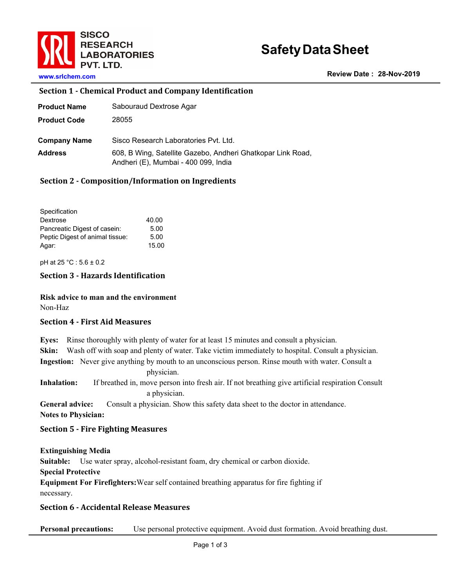

# **SafetyDataSheet**

**Review Date : 28-Nov-2019**

**www.srlchem.com** 

#### **Section 1 - Chemical Product and Company Identification**

| Product Name        | Sabouraud Dextrose Agar                                                                             |
|---------------------|-----------------------------------------------------------------------------------------------------|
| <b>Product Code</b> | 28055                                                                                               |
| Company Name        | Sisco Research Laboratories Pvt. Ltd.                                                               |
| Address             | 608, B Wing, Satellite Gazebo, Andheri Ghatkopar Link Road,<br>Andheri (E), Mumbai - 400 099, India |

#### **Section 2 - Composition/Information on Ingredients**

| Specification                   |       |
|---------------------------------|-------|
| 40.00<br>Dextrose               |       |
| Pancreatic Digest of casein:    | 5.00  |
| Peptic Digest of animal tissue: | 5.00  |
| Agar:                           | 15.00 |

pH at 25 °C : 5.6 ± 0.2

# **Section 3 - Hazards Identification**

**Risk advice to man and the environment** Non-Haz

#### **Section 4 - First Aid Measures**

**Eyes:** Rinse thoroughly with plenty of water for at least 15 minutes and consult a physician. **Skin:** Wash off with soap and plenty of water. Take victim immediately to hospital. Consult a physician. **Ingestion:** Never give anything by mouth to an unconscious person. Rinse mouth with water. Consult a

physician. **Inhalation:** If breathed in, move person into fresh air. If not breathing give artificial respiration Consult a physician.

**General advice:** Consult a physician. Show this safety data sheet to the doctor in attendance. **Notes to Physician:**

#### **Section 5 - Fire Fighting Measures**

**Extinguishing Media**

**Suitable:** Use water spray, alcohol-resistant foam, dry chemical or carbon dioxide.

**Special Protective** 

**Equipment For Firefighters:**Wear self contained breathing apparatus for fire fighting if necessary.

# **Section 6 - Accidental Release Measures**

**Personal precautions:** Use personal protective equipment. Avoid dust formation. Avoid breathing dust.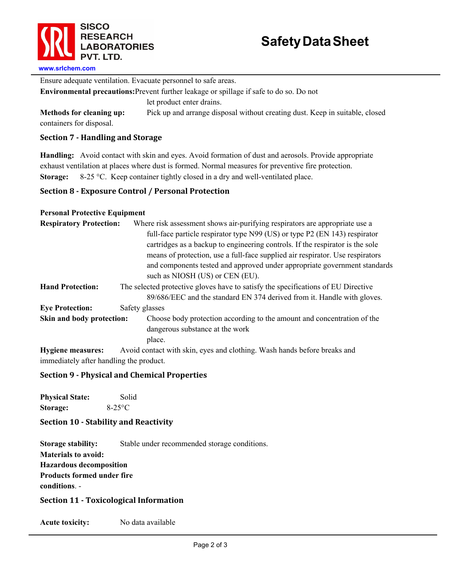

Ensure adequate ventilation. Evacuate personnel to safe areas.

**Environmental precautions:**Prevent further leakage or spillage if safe to do so. Do not

let product enter drains.

**Methods for cleaning up:** Pick up and arrange disposal without creating dust. Keep in suitable, closed containers for disposal.

# **Section 7 - Handling and Storage**

**Handling:** Avoid contact with skin and eyes. Avoid formation of dust and aerosols. Provide appropriate exhaust ventilation at places where dust is formed. Normal measures for preventive fire protection. **Storage:** 8-25 °C. Keep container tightly closed in a dry and well-ventilated place.

# **Section 8 - Exposure Control / Personal Protection**

#### **Personal Protective Equipment**

| <b>Respiratory Protection:</b> | Where risk assessment shows air-purifying respirators are appropriate use a<br>full-face particle respirator type N99 (US) or type P2 (EN 143) respirator<br>cartridges as a backup to engineering controls. If the respirator is the sole<br>means of protection, use a full-face supplied air respirator. Use respirators<br>and components tested and approved under appropriate government standards<br>such as NIOSH (US) or CEN (EU). |  |
|--------------------------------|---------------------------------------------------------------------------------------------------------------------------------------------------------------------------------------------------------------------------------------------------------------------------------------------------------------------------------------------------------------------------------------------------------------------------------------------|--|
| <b>Hand Protection:</b>        | The selected protective gloves have to satisfy the specifications of EU Directive<br>89/686/EEC and the standard EN 374 derived from it. Handle with gloves.                                                                                                                                                                                                                                                                                |  |
| <b>Eye Protection:</b>         | Safety glasses                                                                                                                                                                                                                                                                                                                                                                                                                              |  |
| Skin and body protection:      | Choose body protection according to the amount and concentration of the<br>dangerous substance at the work<br>place.                                                                                                                                                                                                                                                                                                                        |  |
| <b>Hygiene measures:</b>       | Avoid contact with skin, eyes and clothing. Wash hands before breaks and                                                                                                                                                                                                                                                                                                                                                                    |  |

immediately after handling the product.

# **Section 9 - Physical and Chemical Properties**

**Physical State:** Solid **Storage:** 8-25°C

# **Section 10 - Stability and Reactivity**

**Storage stability:** Stable under recommended storage conditions. **Materials to avoid: Hazardous decomposition Products formed under fire conditions**. -

# **Section 11 - Toxicological Information**

**Acute toxicity:** No data available